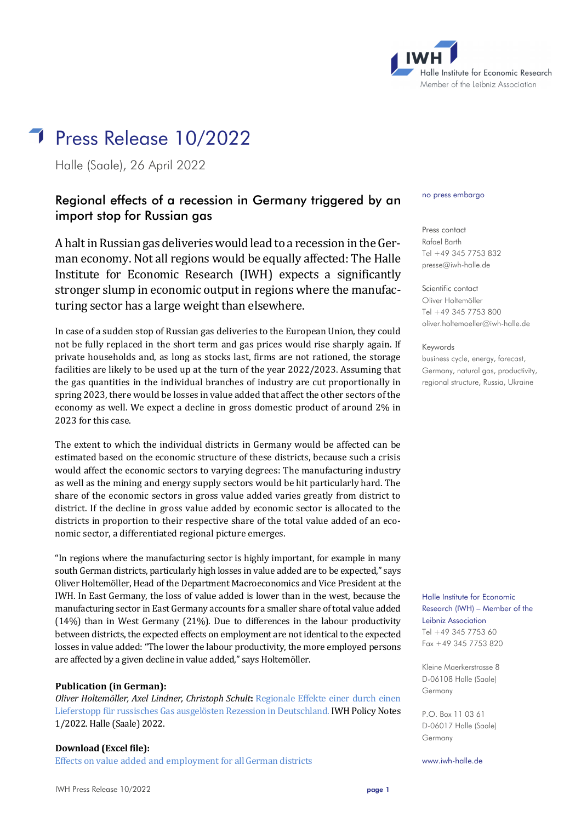

# **Press Release 10/2022**

Halle (Saale), 26 April 2022

# Regional effects of a recession in Germany triggered by an import stop for Russian gas

A halt in Russian gas deliveries would lead to a recession in the German economy. Not all regions would be equally affected: The Halle Institute for Economic Research (IWH) expects a significantly stronger slump in economic output in regions where the manufacturing sector has a large weight than elsewhere.

In case of a sudden stop of Russian gas deliveries to the European Union, they could not be fully replaced in the short term and gas prices would rise sharply again. If private households and, as long as stocks last, firms are not rationed, the storage facilities are likely to be used up at the turn of the year 2022/2023. Assuming that the gas quantities in the individual branches of industry are cut proportionally in spring 2023, there would be losses in value added that affect the other sectors of the economy as well. We expect a decline in gross domestic product of around 2% in 2023 for this case.

The extent to which the individual districts in Germany would be affected can be estimated based on the economic structure of these districts, because such a crisis would affect the economic sectors to varying degrees: The manufacturing industry as well as the mining and energy supply sectors would be hit particularly hard. The share of the economic sectors in gross value added varies greatly from district to district. If the decline in gross value added by economic sector is allocated to the districts in proportion to their respective share of the total value added of an economic sector, a differentiated regional picture emerges.

"In regions where the manufacturing sector is highly important, for example in many south German districts, particularly high losses in value added are to be expected," says Oliver Holtemöller, Head of the Department Macroeconomics and Vice President at the IWH. In East Germany, the loss of value added is lower than in the west, because the manufacturing sector in East Germany accounts for a smaller share of total value added (14%) than in West Germany (21%). Due to differences in the labour productivity between districts, the expected effects on employment are not identical to the expected losses in value added: "The lower the labour productivity, the more employed persons are affected by a given decline in value added," says Holtemöller.

#### **Publication (in German):**

*Oliver Holtemöller, Axel Lindner, Christoph Schult***:** [Regionale Effekte einer durch einen](https://www.iwh-halle.de/fileadmin/user_upload/publications/iwh_policy_notes/iwh-pn_2022-01_de_Gaslieferstopp.pdf)  [Lieferstopp für russisches Gas ausgelösten Rezession in Deutschland.](https://www.iwh-halle.de/fileadmin/user_upload/publications/iwh_policy_notes/iwh-pn_2022-01_de_Gaslieferstopp.pdf) IWH Policy Notes 1/2022. Halle (Saale) 2022.

**Download (Excel file):**

[Effects on value added and employment](https://www.iwh-halle.de/fileadmin/user_upload/publications/tables/iwh-pn_2022-01_gaslieferstopp-kreise.xlsx) for all German districts

#### no press embargo

Press contact Rafael Barth Tel +49 345 7753 832 [presse@iwh-halle.de](mailto:presse@iwh-halle.de)

Scientific contact Oliver Holtemöller Tel +49 345 7753 800 [oliver.holtemoeller@iwh-halle.de](mailto:oliver.holtemoeller@iwh-halle.de)

Keywords

business cycle, energy, forecast, Germany, natural gas, productivity, regional structure, Russia, Ukraine

Halle Institute for Economic Research (IWH) – Member of the Leibniz Association Tel +49 345 7753 60 Fax +49 345 7753 820

Kleine Maerkerstrasse 8 D-06108 Halle (Saale) Germany

P.O. Box 11 03 61 D-06017 Halle (Saale) Germany

www.iwh-halle.de